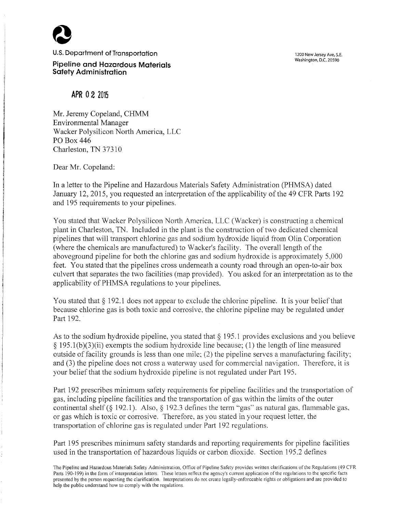

**U.S.** Department **of Transportation** 

**Pipeline and Hazardous Materials Safety Administration** 

1200 New Jersey Ave, S.E. Washington, D.C. 20590

**APR 0 2 <sup>2015</sup>**

Mr. Jeremy Copeland, CHMM Environmental Manager Wacker Polysilicon North America, LLC PO Box 446 Charleston, TN 37310

Dear Mr. Copeland:

In a letter to the Pipeline and Hazardous Materials Safety Administration (PHMSA) dated January 12, 2015, you requested an interpretation of the applicability of the 49 CFR Parts 192 and 195 requirements to your pipelines.

You stated that Wacker Polysilicon North America, LLC (Wacker) is constructing a chemical plant in Charleston, TN. Included in the plant is the construction of two dedicated chemical pipelines that will transport chlorine gas and sodium hydroxide liquid from Olin Corporation (where the chemicals are manufactured) to Wacker's facility. The overall length of the aboveground pipeline for both the chlorine gas and sodium hydroxide is approximately 5,000 feet. You stated that the pipelines cross underneath a county road through an open-to-air box culvert that separates the two facilities (map provided). You asked for an interpretation as to the applicability of PHMSA regulations to your pipelines.

You stated that  $\S 192.1$  does not appear to exclude the chlorine pipeline. It is your belief that because chlorine gas is both toxic and corrosive. the chlorine pipeline may be regulated under Part 192.

As to the sodium hydroxide pipeline, you stated that  $\S$  195.1 provides exclusions and you believe  $\S$  195.1(b)(3)(ii) exempts the sodium hydroxide line because; (1) the length of line measured outside of facility grounds is less than one mile;  $(2)$  the pipeline serves a manufacturing facility; and (3) the pipeline does not cross a waterway used for commercial navigation. Therefore, it is your belief that the sodium hydroxide pipeline is not regulated under Part 195.

Part 192 prescribes minimum safety requirements for pipeline facilities and the transportation of gas. including pipeline facilities and the transportation of gas within the limits of the outer continental shelf (§ 192.1). Also, § 192.3 defines the term "gas" as natural gas, flammable gas, or gas which is toxic or corrosive. Therefore, as you stated in your request letter, the transportation of chlorine gas is regulated under Part 192 regulations.

Part 195 prescribes minimum safety standards and reporting requirements for pipeline facilities used in the transportation of hazardous liquids or carbon dioxide. Section 195.2 defines

The Pipeline and Hazardous Materials Safety Administration. Office of Pipeline Safety provides written clarifications of the Regulations (49 CFR Parts 190-199) in the form of interpretation letters. These letters reflect the agency's current application of the regulations to the specific facts presented by the person requesting the clarification. Interpretations do not create legally-enforceable rights or obligations and are provided to help the public understand how to comply with the regulations.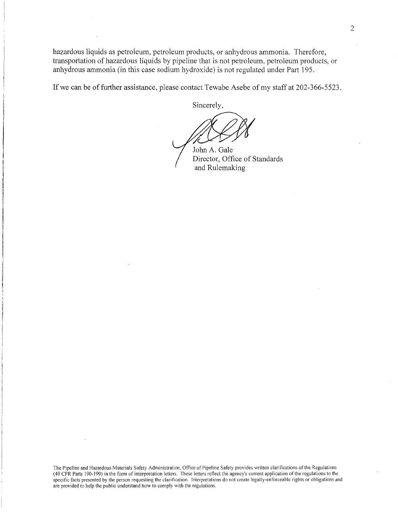hazardous liquids as petroleum, petroleum products, or anhydrous ammonia. Therefore, transportation of hazardous liquids by pipeline that is not petroleum, petroleum products, or anhydrous ammonia (in this case sodium hydroxide) is not regulated under Part 195.

If we can be of further assistance, please contact Tewabe Asebe of my staff at 202-366-5523.

Sincerely,

John A. Gale Director, Office of Standards and Rulemaking

The Pipeline and Hazardous Materials Safety Administration, Office of Pipeline Safety provides written clarifications of the Regulations (49 CFR Parts 190-199) in the form of interpretation letters. These letters reflect the agency's current application of the regulations to the specific facts presented by the person requesting the clarification. Interpretations do not create legally-enforceable rights or obligations and are provided to help the public understand how to comply with the regulations.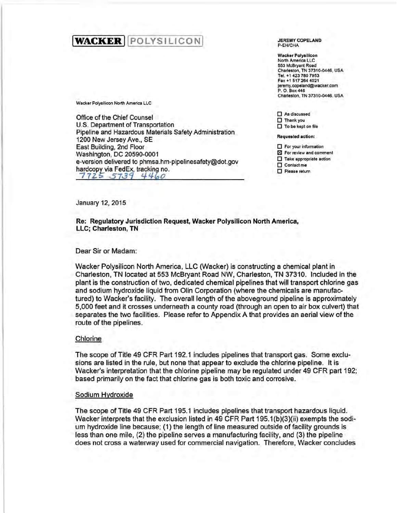# **WACKER** POLYSILICON

Wacker Polysilicon North America LLC

Office of the Chief Counsel U.S. Department of Transportation Pipeline and Hazardous Materials Safety Administration 1200 New Jersey Ave., SE East Building, 2nd Floor Washington, DC 20590-0001 e-version delivered to phmsa.hm-pipelinesafety@dot.gov hardcopy via Fed Ex, tracking no.<br>7725 5739 4460 7725 5739

JEREMY COPELAND P-EHICHA

**Wacker Polysilicon** North America LLC 553 McBryan! Road Charleston, TN 37310-0446, USA Tel. +1 423 780 7953 Fax +1 517 264 4021 jeremy.copeland@wacker.com P. 0. Box446 Charleston, TN 37310-0446, USA

 $\square$  As discussed 0 Thank you  $\square$  To be kept on file

Requested action:

 $\Pi$  For your information

181 For review and comment  $\square$  Take appropriate action

 $\square$  Contact me

D Please return

January 12, 2015

Re: Regulatory Jurisdiction Request, Wacker Polysilicon North America, LLC; Charleston, TN

## Dear Sir or Madam:

Wacker Polysilicon North America, LLC (Wacker) is constructing a chemical plant in Charleston, TN located at 553 McBryant Road NW, Charleston, TN 37310. Included in the plant is the construction of two, dedicated chemical pipelines that will transport chlorine gas and sodium hydroxide liquid from Olin Corporation (where the chemicals are manufactured) to Wacker's facility. The overall length of the aboveground pipeline is approximately 5,000 feet and it crosses underneath a county road (through an open to air box culvert) that separates the two facilities. Please refer to Appendix A that provides an aerial view of the route of the pipelines.

## Chlorine

The scope of Title 49 CFR Part 192.1 includes pipelines that transport gas. Some exclusions are listed in the rule, but none that appear to exclude the chlorine pipeline. It is Wacker's interpretation that the chlorine pipeline may be regulated under 49 CFR part 192; based primarily on the fact that chlorine gas is both toxic and corrosive.

## Sodium Hydroxide

The scope of Title 49 CFR Part 195.1 includes pipelines that transport hazardous liquid. Wacker interprets that the exclusion listed in 49 CFR Part 195.1(b)(3)(ii) exempts the sodium hydroxide line because; (1) the length of line measured outside of facility grounds is less than one mile, (2) the pipeline serves a manufacturing facility, and (3) the pipeline does not cross a waterway used for commercial navigation. Therefore, Wacker concludes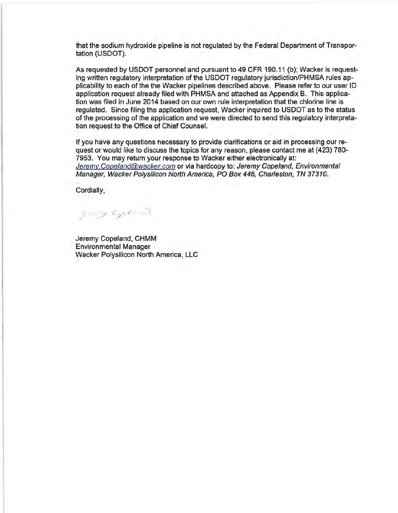that the sodium hydroxide pipeline is not regulated by the Federal Department of Transportation (USDOT).

As requested by USDOT personnel and pursuant to 49 CFR 190.11 (b); Wacker is requesting written regulatory interpretation of the USDOT regulatory jurisdiction/PHMSA rules applicability to each of the the Wacker pipelines described above. Please refer to our user ID application request already filed with PHMSA and attached as Appendix B. This application was filed in June 2014 based on our own rule interpretation that the chlorine line is regulated. Since filing the application request, Wacker inquired to USDOT as to the status of the processing of the application and we were directed to send this regulatory interpretation request to the Office of Chief Counsel.

If you have any questions necessary to provide clarifications or aid in processing our request or would like to discuss the topics for any reason, please contact me at (423) 780- 7953. You may return your response to Wacker either electronically at: Jeremy.Copeland@wacker.com or via hardcopy to: Jeremy Copeland, Environmental Manager, Wacker Polysilicon North America, PO Box 446, Charleston, TN 37310.

Cordially,

 $y_+$  ,  $c_{\chi}, \epsilon$  )

Jeremy Copeland, CHMM Environmental Manager Wacker Polysilicon North America, LLC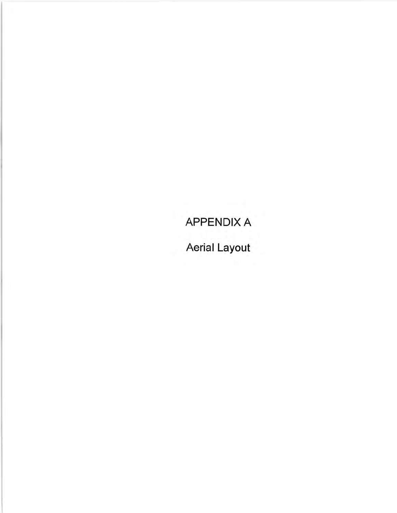# APPENDIX A

Aerial Layout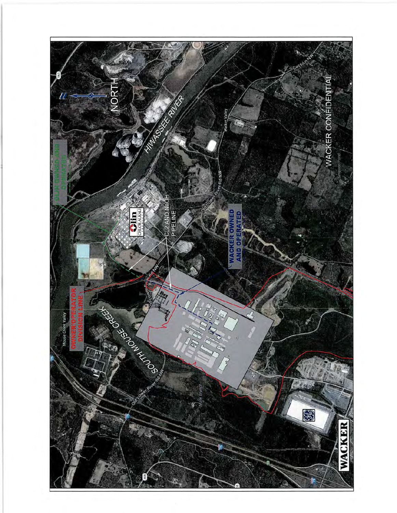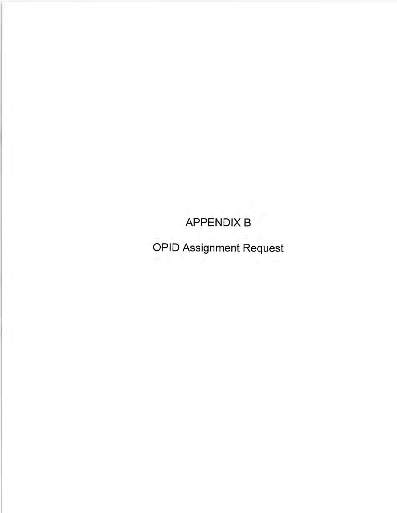APPENDIX B

OPID Assignment Request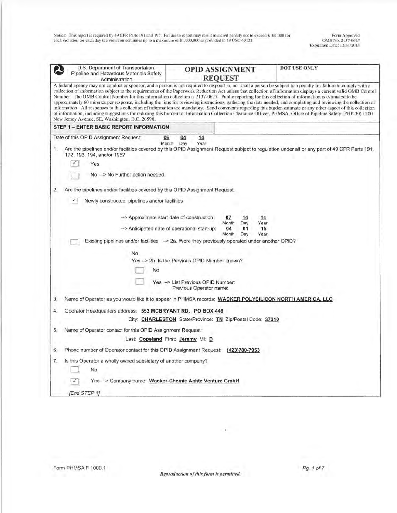Form Approved OMB o. 213 7-0627 Expiration Dale: 12/31/2014

|    | U.S. Department of Transportation<br>Pipeline and Hazardous Materials Safety<br>Administration                                                                                                                                                                                                                                                                                                                                                                                                                                                                                                                                                                                                                                                                                                                                                                                                                                                                                                                                                    |           |                                                              | <b>OPID ASSIGNMENT</b><br><b>REQUEST</b> |           |            | DOT USE ONLY |
|----|---------------------------------------------------------------------------------------------------------------------------------------------------------------------------------------------------------------------------------------------------------------------------------------------------------------------------------------------------------------------------------------------------------------------------------------------------------------------------------------------------------------------------------------------------------------------------------------------------------------------------------------------------------------------------------------------------------------------------------------------------------------------------------------------------------------------------------------------------------------------------------------------------------------------------------------------------------------------------------------------------------------------------------------------------|-----------|--------------------------------------------------------------|------------------------------------------|-----------|------------|--------------|
|    | A federal agency may not conduct or sponsor, and a person is not required to respond to, nor shall a person be subject to a penalty for failure to comply with a<br>collection of information subject to the requirements of the Paperwork Reduction Act unless that collection of information displays a current valid OMB Control<br>Number. The OMB Control Number for this information collection is 2137-0627. Public reporting for this collection of information is estimated to be<br>approximately 60 minutes per response, including the time for reviewing instructions, gathering the data needed, and completing and reviewing the collection of<br>information. All responses to this collection of information are mandatory. Send comments regarding this burden estimate or any other aspect of this collection<br>of information, including suggestions for reducing this burden to: Information Collection Clearance Officer, PHMSA, Office of Pipeline Safety (PHP-30) 1200<br>New Jersey Avenue, SE, Washington, D.C. 20590. |           |                                                              |                                          |           |            |              |
|    | <b>STEP 1 - ENTER BASIC REPORT INFORMATION</b>                                                                                                                                                                                                                                                                                                                                                                                                                                                                                                                                                                                                                                                                                                                                                                                                                                                                                                                                                                                                    |           |                                                              |                                          |           |            |              |
| 1. | Date of this OPID Assignment Request:<br>06<br>Month<br>Are the pipelines and/or facilities covered by this OPID Assignment Request subject to regulation under all or any part of 49 CFR Parts 191,<br>192, 193, 194, and/or 195?                                                                                                                                                                                                                                                                                                                                                                                                                                                                                                                                                                                                                                                                                                                                                                                                                | 04<br>Day | 14<br>Year                                                   |                                          |           |            |              |
|    | Yes                                                                                                                                                                                                                                                                                                                                                                                                                                                                                                                                                                                                                                                                                                                                                                                                                                                                                                                                                                                                                                               |           |                                                              |                                          |           |            |              |
|    | No -> No Further action needed.                                                                                                                                                                                                                                                                                                                                                                                                                                                                                                                                                                                                                                                                                                                                                                                                                                                                                                                                                                                                                   |           |                                                              |                                          |           |            |              |
| 2. | Are the pipelines and/or facilities covered by this OPID Assignment Request.                                                                                                                                                                                                                                                                                                                                                                                                                                                                                                                                                                                                                                                                                                                                                                                                                                                                                                                                                                      |           |                                                              |                                          |           |            |              |
|    | M<br>Newly constructed pipelines and/or facilities                                                                                                                                                                                                                                                                                                                                                                                                                                                                                                                                                                                                                                                                                                                                                                                                                                                                                                                                                                                                |           |                                                              |                                          |           |            |              |
|    | -- > Approximate start date of construction:                                                                                                                                                                                                                                                                                                                                                                                                                                                                                                                                                                                                                                                                                                                                                                                                                                                                                                                                                                                                      |           |                                                              | 07                                       | 14        | 14         |              |
|    | -- > Anticipated date of operational start-up:                                                                                                                                                                                                                                                                                                                                                                                                                                                                                                                                                                                                                                                                                                                                                                                                                                                                                                                                                                                                    |           |                                                              | Month<br>04                              | Day<br>01 | Year<br>15 |              |
|    | Existing pipelines and/or facilities -> 2a. Were they previously operated under another OPID?                                                                                                                                                                                                                                                                                                                                                                                                                                                                                                                                                                                                                                                                                                                                                                                                                                                                                                                                                     |           |                                                              | Month                                    | Day       | Year       |              |
|    | No                                                                                                                                                                                                                                                                                                                                                                                                                                                                                                                                                                                                                                                                                                                                                                                                                                                                                                                                                                                                                                                |           |                                                              |                                          |           |            |              |
|    | Yes -> 2b. Is the Previous OPID Number known?                                                                                                                                                                                                                                                                                                                                                                                                                                                                                                                                                                                                                                                                                                                                                                                                                                                                                                                                                                                                     |           |                                                              |                                          |           |            |              |
|    | No                                                                                                                                                                                                                                                                                                                                                                                                                                                                                                                                                                                                                                                                                                                                                                                                                                                                                                                                                                                                                                                |           |                                                              |                                          |           |            |              |
|    |                                                                                                                                                                                                                                                                                                                                                                                                                                                                                                                                                                                                                                                                                                                                                                                                                                                                                                                                                                                                                                                   |           | Yes -> List Previous OPID Number:<br>Previous Operator name: |                                          |           |            |              |
| 3. | Name of Operator as you would like it to appear in PHMSA records: WACKER POLYSILICON NORTH AMERICA, LLC                                                                                                                                                                                                                                                                                                                                                                                                                                                                                                                                                                                                                                                                                                                                                                                                                                                                                                                                           |           |                                                              |                                          |           |            |              |
| 4. | Operator Headquarters address: 553 MCBRYANT RD. PO BOX 446                                                                                                                                                                                                                                                                                                                                                                                                                                                                                                                                                                                                                                                                                                                                                                                                                                                                                                                                                                                        |           |                                                              |                                          |           |            |              |
|    | City: CHARLESTON State/Province: TN Zip/Postal Code: 37310                                                                                                                                                                                                                                                                                                                                                                                                                                                                                                                                                                                                                                                                                                                                                                                                                                                                                                                                                                                        |           |                                                              |                                          |           |            |              |
| 5. | Name of Operator contact for this OPID Assignment Request:                                                                                                                                                                                                                                                                                                                                                                                                                                                                                                                                                                                                                                                                                                                                                                                                                                                                                                                                                                                        |           |                                                              |                                          |           |            |              |
|    | Last: Copeland First: Jeremy MI: D                                                                                                                                                                                                                                                                                                                                                                                                                                                                                                                                                                                                                                                                                                                                                                                                                                                                                                                                                                                                                |           |                                                              |                                          |           |            |              |
| 6. | Phone number of Operator contact for this OPID Assignment Request: (423)780-7953                                                                                                                                                                                                                                                                                                                                                                                                                                                                                                                                                                                                                                                                                                                                                                                                                                                                                                                                                                  |           |                                                              |                                          |           |            |              |
| 7. | Is this Operator a wholly owned subsidiary of another company?<br>No                                                                                                                                                                                                                                                                                                                                                                                                                                                                                                                                                                                                                                                                                                                                                                                                                                                                                                                                                                              |           |                                                              |                                          |           |            |              |
|    | Yes -> Company name: Wacker-Chemie Achte Venture GmbH<br>[End STEP 1]                                                                                                                                                                                                                                                                                                                                                                                                                                                                                                                                                                                                                                                                                                                                                                                                                                                                                                                                                                             |           |                                                              |                                          |           |            |              |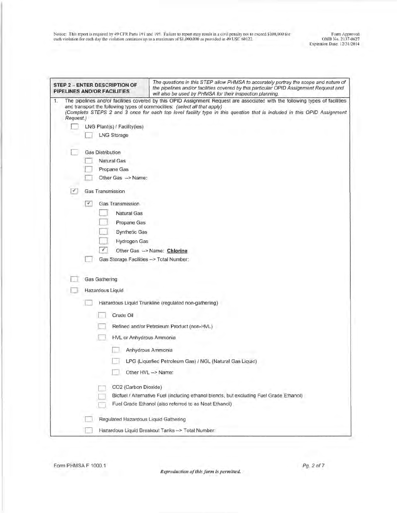|    |           |   | The questions in this STEP allow PHMSA to accurately portray the scope and nature of<br>STEP 2 - ENTER DESCRIPTION OF<br>the pipelines and/or facilities covered by this particular OPID Assignment Request and<br>PIPELINES AND/OR FACILITIES<br>will also be used by PHMSA for their inspection planning.                           |
|----|-----------|---|---------------------------------------------------------------------------------------------------------------------------------------------------------------------------------------------------------------------------------------------------------------------------------------------------------------------------------------|
| 1. | Request.) |   | The pipelines and/or facilities covered by this OPID Assignment Request are associated with the following types of facilities<br>and transport the following types of commodities: (select all that apply)<br>(Complete STEPS 2 and 3 once for each top level facility type in this question that is included in this OPID Assignment |
|    |           |   | LNG Plant(s) / Facility(ies)                                                                                                                                                                                                                                                                                                          |
|    |           |   | <b>LNG Storage</b>                                                                                                                                                                                                                                                                                                                    |
|    |           |   | <b>Gas Distribution</b>                                                                                                                                                                                                                                                                                                               |
|    |           |   | Natural Gas                                                                                                                                                                                                                                                                                                                           |
|    |           |   | Propane Gas                                                                                                                                                                                                                                                                                                                           |
|    |           |   | Other Gas -> Name:                                                                                                                                                                                                                                                                                                                    |
|    | ⊀         |   | <b>Gas Transmission</b>                                                                                                                                                                                                                                                                                                               |
|    |           | × | Gas Transmission                                                                                                                                                                                                                                                                                                                      |
|    |           |   | <b>Natural Gas</b>                                                                                                                                                                                                                                                                                                                    |
|    |           |   | Propane Gas                                                                                                                                                                                                                                                                                                                           |
|    |           |   | <b>Synthetic Gas</b>                                                                                                                                                                                                                                                                                                                  |
|    |           |   | Hydrogen Gas                                                                                                                                                                                                                                                                                                                          |
|    |           |   | ¥.<br>Other Gas -> Name: Chlorine                                                                                                                                                                                                                                                                                                     |
|    |           |   | Gas Storage Facilities --> Total Number:                                                                                                                                                                                                                                                                                              |
|    |           |   | <b>Gas Gathering</b>                                                                                                                                                                                                                                                                                                                  |
|    |           |   | Hazardous Liquid                                                                                                                                                                                                                                                                                                                      |
|    |           |   | Hazardous Liquid Trunkline (regulated non-gathering)                                                                                                                                                                                                                                                                                  |
|    |           |   | Crude Oil                                                                                                                                                                                                                                                                                                                             |
|    |           |   | Refined and/or Petroleum Product (non-HVL)                                                                                                                                                                                                                                                                                            |
|    |           |   | HVL or Anhydrous Ammonia                                                                                                                                                                                                                                                                                                              |
|    |           |   | Anhydrous Ammonia                                                                                                                                                                                                                                                                                                                     |
|    |           |   | LPG (Liquefied Petroleum Gas) / NGL (Natural Gas Liquid)                                                                                                                                                                                                                                                                              |
|    |           |   | Other HVL -> Name:                                                                                                                                                                                                                                                                                                                    |
|    |           |   | CO2 (Carbon Dioxide)                                                                                                                                                                                                                                                                                                                  |
|    |           |   | Biofuel / Alternative Fuel (including ethanol blends, but excluding Fuel Grade Ethanol)                                                                                                                                                                                                                                               |
|    |           |   | Fuel Grade Ethanol (also referred to as Neat Ethanol)                                                                                                                                                                                                                                                                                 |
|    |           |   | Regulated Hazardous Liquid Gathering                                                                                                                                                                                                                                                                                                  |
|    |           |   | Hazardous Liquid Breakout Tanks -> Total Number:                                                                                                                                                                                                                                                                                      |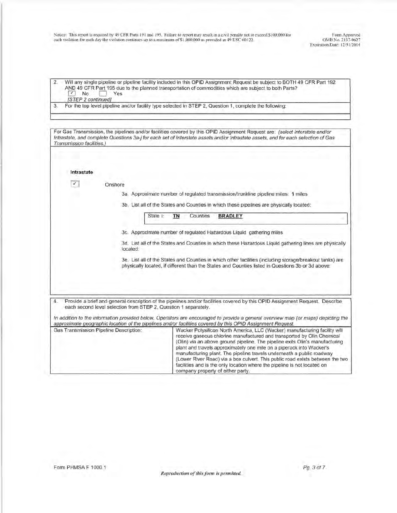Farm Approved OMB No. 2137-0627 Exp iration Date: 12/31 /2014

I

2. Will any single pipeline or pipeline facility included in this OPID Assignment Request be subject to BOTH 49 CFR Part 192 AND 49 CFR Part 195 due to the planned transportation of commodities which are subject to both Parts?<br>
Mo Yes [STEP 2 continued]

3. For the top level pipeline and/or facility type selected in STEP 2, Question 1, complete the following:

For Gas Transmission, the pipelines and/or facilities covered by this OPID Assignment Request are: (select Interstate and/or Intrastate, and complete Questions 3a-j for each set of Interstate assets and/or Intrastate assets, and for each selection of Gas Transmission facilities.)

**Conshore** 

**Intrastate** 

3a. Approximate number of regulated transmission/trunkline pipeline miles: **1** miles

3b. List all of the States and Counties in which these pipelines are physically located:

| State | Counties | <b>BRADLEY</b><br><b>STATE</b><br><b>Contract Contract</b> |
|-------|----------|------------------------------------------------------------|
|       |          |                                                            |

3c. Approximate number of regulated Hazardous Liquid gathering miles

3d. List all of the States and Counties in which these Hazardous Liquid gathering lines are physically located:

3e. List all of the States and Counties in which other facilities (including storage/breakout tanks) are physically located, if different than the States and Counties listed in Questions 3b or 3d above:

4. Provide a brief and general description of the pipelines and/or facilities covered by this OPID Assignment Request. Describe each second level selection from STEP 2, Question 1 separately.

In addition to the information provided below, Operators are encouraged to provide a general overview map (or maps) depicting the approximate geographic location of the pipelines and/or facilities covered by this OP/0 Assignment Request.

| Gas Transmission Pipeline Description: | Wacker Polysilicon North America, LLC (Wacker) manufacturing facility will<br>receive gaseous chlorine manufactured and transported by Olin Chemical<br>(Olin) via an above ground pipeline. The pipeline exits Olin's manufacturing<br>plant and travels approximately one mile on a piperack into Wacker's<br>manufacturing plant. The pipeline travels underneath a public roadway<br>(Lower River Road) via a box culvert. This public road exists between the two<br>facilities and is the only location where the pipeline is not located on<br>company property of either party. |
|----------------------------------------|-----------------------------------------------------------------------------------------------------------------------------------------------------------------------------------------------------------------------------------------------------------------------------------------------------------------------------------------------------------------------------------------------------------------------------------------------------------------------------------------------------------------------------------------------------------------------------------------|
|----------------------------------------|-----------------------------------------------------------------------------------------------------------------------------------------------------------------------------------------------------------------------------------------------------------------------------------------------------------------------------------------------------------------------------------------------------------------------------------------------------------------------------------------------------------------------------------------------------------------------------------------|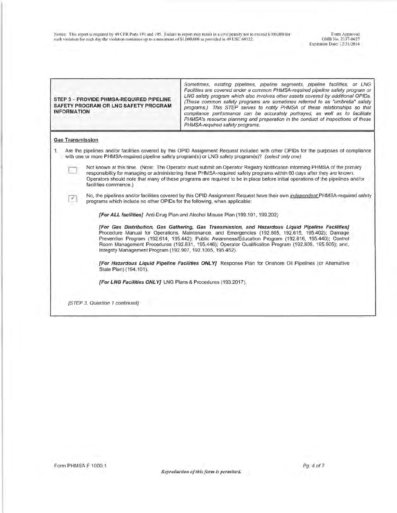| STEP 3 - PROVIDE PHMSA-REQUIRED PIPELINE<br>SAFETY PROGRAM OR LNG SAFETY PROGRAM<br><b>INFORMATION</b> | Sometimes, existing pipelines, pipeline segments, pipeline facilities, or LNG<br>Facilities are covered under a common PHMSA-required pipeline safety program or<br>LNG safety program which also involves other assets covered by additional OPIDs.<br>(These common safety programs are sometimes referred to as "umbrella" safety<br>programs.) This STEP serves to notify PHMSA of these relationships so that<br>compliance performance can be accurately portrayed, as well as to facilitate<br>PHMSA's resource planning and preparation in the conduct of inspections of these<br>PHMSA-required safety programs. |  |  |  |  |  |  |
|--------------------------------------------------------------------------------------------------------|---------------------------------------------------------------------------------------------------------------------------------------------------------------------------------------------------------------------------------------------------------------------------------------------------------------------------------------------------------------------------------------------------------------------------------------------------------------------------------------------------------------------------------------------------------------------------------------------------------------------------|--|--|--|--|--|--|
| <b>Gas Transmission</b>                                                                                |                                                                                                                                                                                                                                                                                                                                                                                                                                                                                                                                                                                                                           |  |  |  |  |  |  |
| L.                                                                                                     | Are the pipelines and/or facilities covered by this OPID Assignment Request included with other OPIDs for the purposes of compliance<br>with one or more PHMSA-required pipeline safety program(s) or LNG safety program(s)? (select only one)                                                                                                                                                                                                                                                                                                                                                                            |  |  |  |  |  |  |
| facilities commence.)                                                                                  | Not known at this time. (Note: The Operator must submit an Operator Registry Notification informing PHMSA of the primary<br>responsibility for managing or administering these PHMSA-required safety programs within 60 days after they are known.<br>Operators should note that many of these programs are required to be in place before initial operations of the pipelines and/or                                                                                                                                                                                                                                     |  |  |  |  |  |  |
| V.<br>programs which include no other OPIDs for the following, when applicable:                        | No, the pipelines and/or facilities covered by this OPID Assignment Request have their own independent PHMSA-required safety                                                                                                                                                                                                                                                                                                                                                                                                                                                                                              |  |  |  |  |  |  |
|                                                                                                        | [For ALL facilities] Anti-Drug Plan and Alcohol Misuse Plan (199.101, 199.202)                                                                                                                                                                                                                                                                                                                                                                                                                                                                                                                                            |  |  |  |  |  |  |
| Integrity Management Program (192.907, 192.1005, 195.452).                                             | [For Gas Distribution, Gas Gathering, Gas Transmission, and Hazardous Liquid Pipeline Facilities]<br>Procedure Manual for Operations, Maintenance, and Emergencies (192.605, 192.615, 195.402); Damage<br>Prevention Program (192.614, 195.442); Public Awareness/Education Program (192.616, 195.440); Control<br>Room Management Procedures (192.631, 195.446); Operator Qualification Program (192.805, 195.505); and,                                                                                                                                                                                                 |  |  |  |  |  |  |
| State Plan) (194.101).                                                                                 | [For Hazardous Liquid Pipeline Facilities ONLY] Response Plan for Onshore Oil Pipelines (or Alternative                                                                                                                                                                                                                                                                                                                                                                                                                                                                                                                   |  |  |  |  |  |  |
| [For LNG Facilities ONLY] LNG Plans & Procedures (193.2017).                                           |                                                                                                                                                                                                                                                                                                                                                                                                                                                                                                                                                                                                                           |  |  |  |  |  |  |
| [STEP 3, Question 1 continued]                                                                         |                                                                                                                                                                                                                                                                                                                                                                                                                                                                                                                                                                                                                           |  |  |  |  |  |  |

ĩ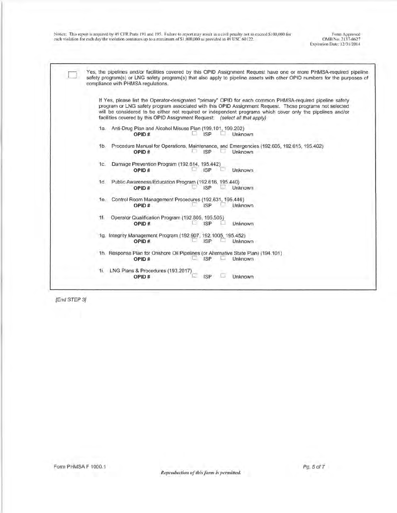Form Approved OMB No. 2lJ7-0627 Expiration Date: 12/31/2014

Yes, the pipelines and/or facilities covered by this OPID Assignment Request have one or more PHMSA-required pipeline safety program(s) or LNG safety program(s) that also apply to pipeline assets with other OPID numbers for the purposes of compliance with PHMSA regulations.

If Yes, please list the Operator-designated "primary" OPID for each common PHMSA-required pipeline safety program or LNG safety program associated with this OPID Assignment Request. Those programs not selected will be considered to be either not required or independent programs which cover only the pipelines and/or facilities covered by this OPID Assignment Request: (select all that apply)

- 1a. Anti-Drug Plan and Alcohol Misuse Plan (199.101, 199.202)<br>OPID #  $\Box$   $\Box$   $\Box$  P **OPISP** Unknown
- 1b. Procedure Manual for Operations, Maintenance, and Emergencies (192.605, 192.615, 195.402)<br>
OPID # ISP Unknown **C** ISP Unknown
- 1c. Damage Prevention Program (192.614, 195.442)<br>**OPID #** [SP] **OPISP** Unknown
- 1d. Public Awareness/Education Program (192.616, 195.440)<br>OPID # ISP Dividends **ISP** Unknown
- 1e. Control Room Management Procedures (192,631, 195,446)<br>OPID # ISP Johnown **ISP**
- 1f. Operator Qualification Program (192.805, 195.505)<br>
OPID # **L** ISP L Unknown
- 1g. Integrity Management Program (192.907, 192.1005, 195.452)<br>OPID # 1SP Unkno **Unknown**

1h. Response Plan for Onshore Oil Pipelines (or Alternative State Plan) (194.101)<br>OPID #  $\Box$  ISP  $\Box$  Unknown **C** ISP **Unknown** 

### 1i. LNG Plans & Procedures (193.2017) **OPID#** 0 ISP 0 Unknown

[End STEP 3)

D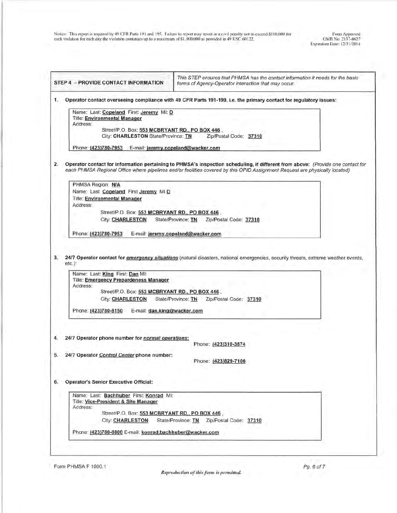| STEP 4 - PROVIDE CONTACT INFORMATION                                                                                                                                                                                                            | This STEP ensures that PHMSA has the contact information it needs for the basic<br>forms of Agency-Operator interaction that may occur.                                                                                                                         |
|-------------------------------------------------------------------------------------------------------------------------------------------------------------------------------------------------------------------------------------------------|-----------------------------------------------------------------------------------------------------------------------------------------------------------------------------------------------------------------------------------------------------------------|
|                                                                                                                                                                                                                                                 | Operator contact overseeing compliance with 49 CFR Parts 191-199, i.e. the primary contact for regulatory issues:                                                                                                                                               |
| Name: Last: Copeland First: Jeremy MI: D<br><b>Title: Environmental Manager</b><br>Address:<br>Street/P.O. Box: 553 MCBRYANT RD., PO BOX 446,<br>City: CHARLESTON State/Province: TN<br>Phone: (423)780-7953 E-mail: jeremy.copeland@wacker.com | Zip/Postal Code: 37310                                                                                                                                                                                                                                          |
|                                                                                                                                                                                                                                                 | Operator contact for information pertaining to PHMSA's inspection scheduling, if different from above: (Provide one contact for<br>each PHMSA Regional Office where pipelines and/or facilities covered by this OPID Assignment Request are physically located) |
| PHMSA Region: N/A<br>Name: Last Copeland First Jeremy MID<br><b>Title: Environmental Manager</b><br>Address:<br>Street/P.O. Box: 553 MCBRYANT RD., PO BOX 446<br><b>City: CHARLESTON</b>                                                        | State/Province: TN    Zip/Postal Code: 37310                                                                                                                                                                                                                    |
| Phone: (423)780-7953                                                                                                                                                                                                                            | E-mail: jeremy.copeland@wacker.com                                                                                                                                                                                                                              |
| Name: Last: King First: Dan MI:<br>Title: Emergency Prepardeness Manager<br>Address:<br>Street/P.O. Box: 553 MCBRYANT RD., PO BOX 446.<br><b>City: CHARLESTON</b><br>Phone: (423)780-8150<br>E-mail: dan.king@wacker.com                        | State/Province: TN<br>Zip/Postal Code: 37310                                                                                                                                                                                                                    |
| 24/7 Operator phone number for normal operations:<br>24/7 Operator Control Center phone number:                                                                                                                                                 | Phone: (423)310-3874<br>Phone: (423)829-7106                                                                                                                                                                                                                    |
| <b>Operator's Senior Executive Official:</b>                                                                                                                                                                                                    |                                                                                                                                                                                                                                                                 |
| Name: Last: Bachhuber First: Konrad MI:<br>Title: Vice-President & Site Manager                                                                                                                                                                 |                                                                                                                                                                                                                                                                 |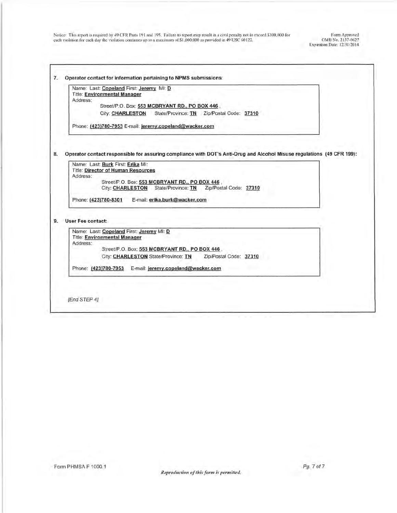| <b>Title: Environmental Manager</b><br>Address:<br>Street/P.O. Box: 553 MCBRYANT RD., PO BOX 446<br><b>City: CHARLESTON</b><br>State/Province: TN    Zip/Postal Code: 37310                                                                                                                                                                                                                   |  |
|-----------------------------------------------------------------------------------------------------------------------------------------------------------------------------------------------------------------------------------------------------------------------------------------------------------------------------------------------------------------------------------------------|--|
| Phone: (423)780-7953 E-mail: jeremy.copeland@wacker.com                                                                                                                                                                                                                                                                                                                                       |  |
| Operator contact responsible for assuring compliance with DOT's Anti-Drug and Alcohol Misuse regulations (49 CFR 199):<br>Name: Last: Burk First: Erika MI:<br><b>Title: Director of Human Resources</b><br>Address:<br>Street/P.O. Box: 553 MCBRYANT RD., PO BOX 446,<br>City: CHARLESTON State/Province: TN<br>Zip/Postal Code: 37310<br>Phone: (423)780-8301 E-mail: erika.burk@wacker.com |  |
| User Fee contact:                                                                                                                                                                                                                                                                                                                                                                             |  |
| Name: Last: Copeland First: Jeremy MI: D<br><b>Title: Environmental Manager</b><br>Address:                                                                                                                                                                                                                                                                                                   |  |
| Street/P.O. Box: 553 MCBRYANT RD., PO BOX 446,<br>City: CHARLESTON State/Province: TN<br>Zip/Postal Code: 37310<br>Phone: (423)780-7953 E-mail: jeremy.copeland@wacker.com                                                                                                                                                                                                                    |  |